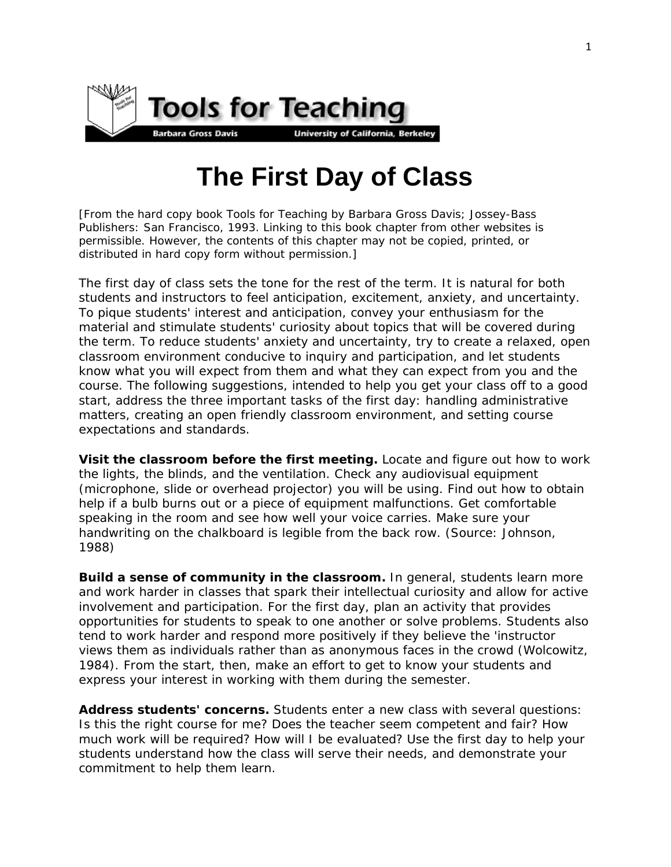

# **The First Day of Class**

[From the hard copy book *Tools for Teaching* by Barbara Gross Davis; Jossey-Bass Publishers: San Francisco, 1993. Linking to this book chapter from other websites is permissible. However, the contents of this chapter may not be copied, printed, or distributed in hard copy form without permission.]

The first day of class sets the tone for the rest of the term. It is natural for both students and instructors to feel anticipation, excitement, anxiety, and uncertainty. To pique students' interest and anticipation, convey your enthusiasm for the material and stimulate students' curiosity about topics that will be covered during the term. To reduce students' anxiety and uncertainty, try to create a relaxed, open classroom environment conducive to inquiry and participation, and let students know what you will expect from them and what they can expect from you and the course. The following suggestions, intended to help you get your class off to a good start, address the three important tasks of the first day: handling administrative matters, creating an open friendly classroom environment, and setting course expectations and standards.

**Visit the classroom before the first meeting.** Locate and figure out how to work the lights, the blinds, and the ventilation. Check any audiovisual equipment (microphone, slide or overhead projector) you will be using. Find out how to obtain help if a bulb burns out or a piece of equipment malfunctions. Get comfortable speaking in the room and see how well your voice carries. Make sure your handwriting on the chalkboard is legible from the back row. (Source: Johnson, 1988)

**Build a sense of community in the classroom.** In general, students learn more and work harder in classes that spark their intellectual curiosity and allow for active involvement and participation. For the first day, plan an activity that provides opportunities for students to speak to one another or solve problems. Students also tend to work harder and respond more positively if they believe the 'instructor views them as individuals rather than as anonymous faces in the crowd (Wolcowitz, 1984). From the start, then, make an effort to get to know your students and express your interest in working with them during the semester.

**Address students' concerns.** Students enter a new class with several questions: Is this the right course for me? Does the teacher seem competent and fair? How much work will be required? How will I be evaluated? Use the first day to help your students understand how the class will serve their needs, and demonstrate your commitment to help them learn.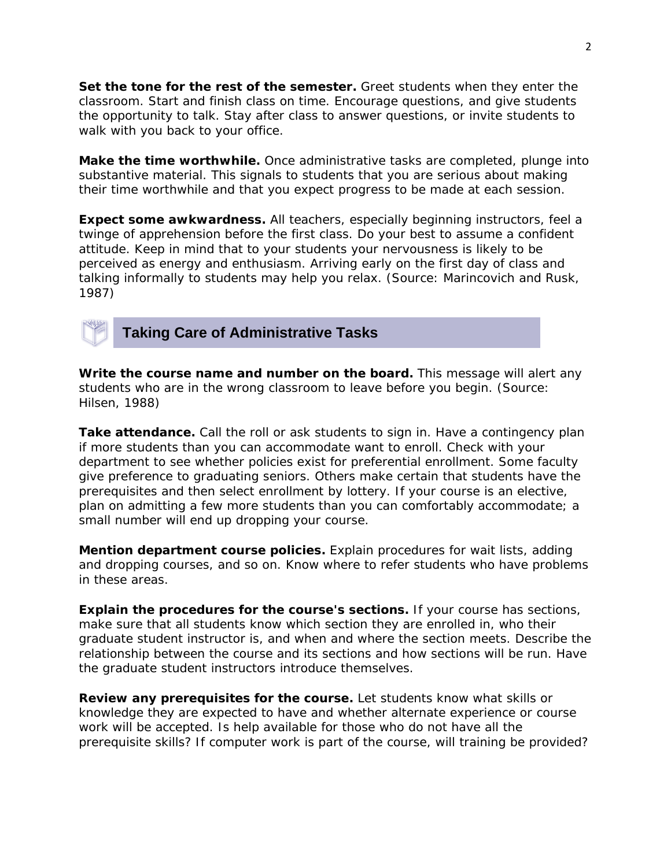**Set the tone for the rest of the semester.** Greet students when they enter the classroom. Start and finish class on time. Encourage questions, and give students the opportunity to talk. Stay after class to answer questions, or invite students to walk with you back to your office.

**Make the time worthwhile.** Once administrative tasks are completed, plunge into substantive material. This signals to students that you are serious about making their time worthwhile and that you expect progress to be made at each session.

**Expect some awkwardness.** All teachers, especially beginning instructors, feel a twinge of apprehension before the first class. Do your best to assume a confident attitude. Keep in mind that to your students your nervousness is likely to be perceived as energy and enthusiasm. Arriving early on the first day of class and talking informally to students may help you relax. (Source: Marincovich and Rusk, 1987)



## **Taking Care of Administrative Tasks**

Write the course name and number on the board. This message will alert any students who are in the wrong classroom to leave before you begin. (Source: Hilsen, 1988)

Take attendance. Call the roll or ask students to sign in. Have a contingency plan if more students than you can accommodate want to enroll. Check with your department to see whether policies exist for preferential enrollment. Some faculty give preference to graduating seniors. Others make certain that students have the prerequisites and then select enrollment by lottery. If your course is an elective, plan on admitting a few more students than you can comfortably accommodate; a small number will end up dropping your course.

**Mention department course policies.** Explain procedures for wait lists, adding and dropping courses, and so on. Know where to refer students who have problems in these areas.

**Explain the procedures for the course's sections.** If your course has sections, make sure that all students know which section they are enrolled in, who their graduate student instructor is, and when and where the section meets. Describe the relationship between the course and its sections and how sections will be run. Have the graduate student instructors introduce themselves.

**Review any prerequisites for the course.** Let students know what skills or knowledge they are expected to have and whether alternate experience or course work will be accepted. Is help available for those who do not have all the prerequisite skills? If computer work is part of the course, will training be provided?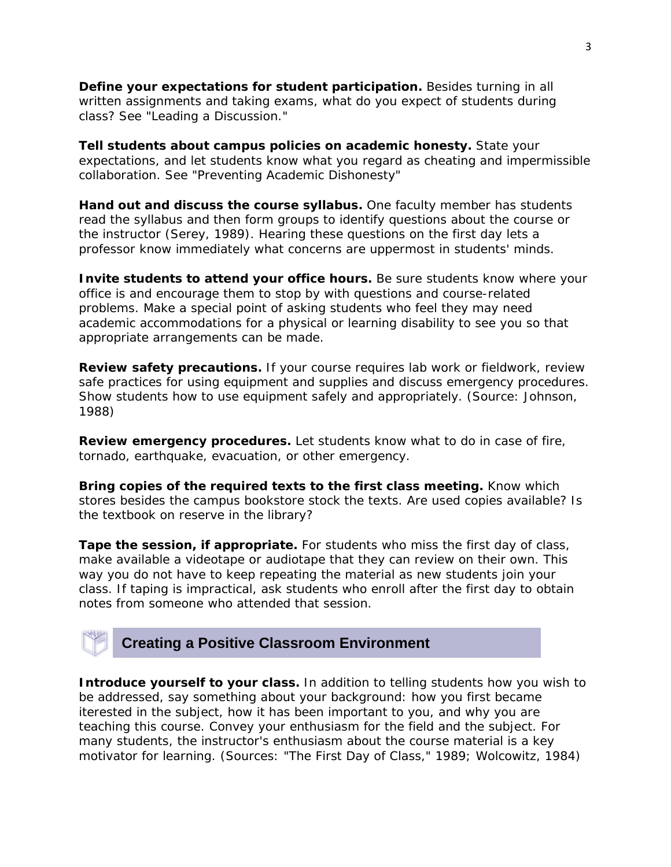**Define your expectations for student participation.** Besides turning in all written assignments and taking exams, what do you expect of students during class? See "Leading a Discussion."

**Tell students about campus policies on academic honesty.** State your expectations, and let students know what you regard as cheating and impermissible collaboration. See "Preventing Academic Dishonesty"

**Hand out and discuss the course syllabus.** One faculty member has students read the syllabus and then form groups to identify questions about the course or the instructor (Serey, 1989). Hearing these questions on the first day lets a professor know immediately what concerns are uppermost in students' minds.

**Invite students to attend your office hours.** Be sure students know where your office is and encourage them to stop by with questions and course-related problems. Make a special point of asking students who feel they may need academic accommodations for a physical or learning disability to see you so that appropriate arrangements can be made.

**Review safety precautions.** If your course requires lab work or fieldwork, review safe practices for using equipment and supplies and discuss emergency procedures. Show students how to use equipment safely and appropriately. (Source: Johnson, 1988)

**Review emergency procedures.** Let students know what to do in case of fire, tornado, earthquake, evacuation, or other emergency.

**Bring copies of the required texts to the first class meeting.** Know which stores besides the campus bookstore stock the texts. Are used copies available? Is the textbook on reserve in the library?

**Tape the session, if appropriate.** For students who miss the first day of class, make available a videotape or audiotape that they can review on their own. This way you do not have to keep repeating the material as new students join your class. If taping is impractical, ask students who enroll after the first day to obtain notes from someone who attended that session.



#### **Creating a Positive Classroom Environment**

**Introduce yourself to your class.** In addition to telling students how you wish to be addressed, say something about your background: how you first became iterested in the subject, how it has been important to you, and why you are teaching this course. Convey your enthusiasm for the field and the subject. For many students, the instructor's enthusiasm about the course material is a key motivator for learning. (Sources: "The First Day of Class," 1989; Wolcowitz, 1984)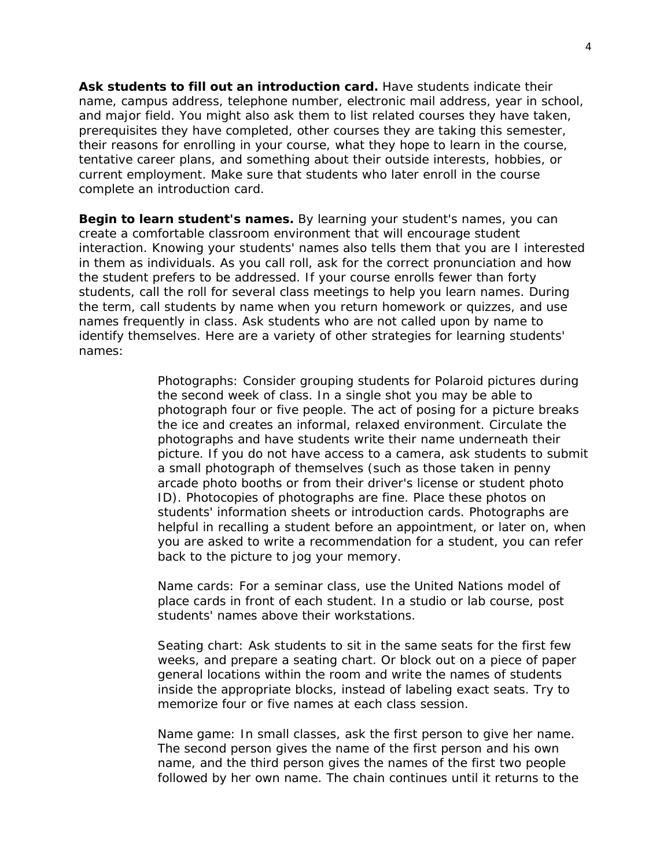**Ask students to fill out an introduction card.** Have students indicate their name, campus address, telephone number, electronic mail address, year in school, and major field. You might also ask them to list related courses they have taken, prerequisites they have completed, other courses they are taking this semester, their reasons for enrolling in your course, what they hope to learn in the course, tentative career plans, and something about their outside interests, hobbies, or current employment. Make sure that students who later enroll in the course complete an introduction card.

**Begin to learn student's names.** By learning your student's names, you can create a comfortable classroom environment that will encourage student interaction. Knowing your students' names also tells them that you are I interested in them as individuals. As you call roll, ask for the correct pronunciation and how the student prefers to be addressed. If your course enrolls fewer than forty students, call the roll for several class meetings to help you learn names. During the term, call students by name when you return homework or quizzes, and use names frequently in class. Ask students who are not called upon by name to identify themselves. Here are a variety of other strategies for learning students' names:

> *Photographs:* Consider grouping students for Polaroid pictures during the second week of class. In a single shot you may be able to photograph four or five people. The act of posing for a picture breaks the ice and creates an informal, relaxed environment. Circulate the photographs and have students write their name underneath their picture. If you do not have access to a camera, ask students to submit a small photograph of themselves (such as those taken in penny arcade photo booths or from their driver's license or student photo ID). Photocopies of photographs are fine. Place these photos on students' information sheets or introduction cards. Photographs are helpful in recalling a student before an appointment, or later on, when you are asked to write a recommendation for a student, you can refer back to the picture to jog your memory.

*Name cards:* For a seminar class, use the United Nations model of place cards in front of each student. In a studio or lab course, post students' names above their workstations.

*Seating chart:* Ask students to sit in the same seats for the first few weeks, and prepare a seating chart. Or block out on a piece of paper general locations within the room and write the names of students inside the appropriate blocks, instead of labeling exact seats. Try to memorize four or five names at each class session.

*Name game:* In small classes, ask the first person to give her name. The second person gives the name of the first person and his own name, and the third person gives the names of the first two people followed by her own name. The chain continues until it returns to the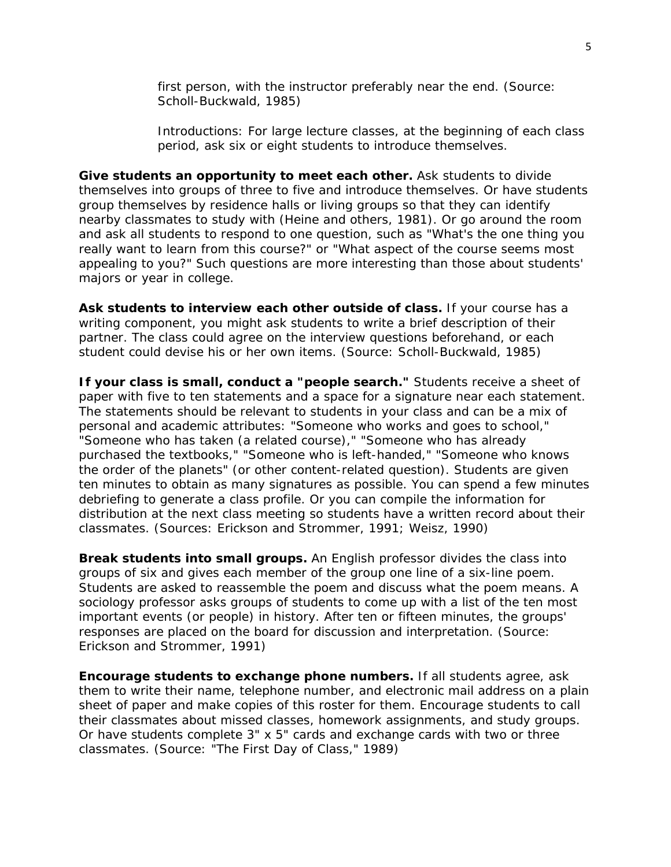first person, with the instructor preferably near the end. (Source: Scholl-Buckwald, 1985)

*Introductions:* For large lecture classes, at the beginning of each class period, ask six or eight students to introduce themselves.

**Give students an opportunity to meet each other.** Ask students to divide themselves into groups of three to five and introduce themselves. Or have students group themselves by residence halls or living groups so that they can identify nearby classmates to study with (Heine and others, 1981). Or go around the room and ask all students to respond to one question, such as "What's the one thing you really want to learn from this course?" or "What aspect of the course seems most appealing to you?" Such questions are more interesting than those about students' majors or year in college.

**Ask students to interview each other outside of class.** If your course has a writing component, you might ask students to write a brief description of their partner. The class could agree on the interview questions beforehand, or each student could devise his or her own items. (Source: Scholl-Buckwald, 1985)

**If your class is small, conduct a "people search."** Students receive a sheet of paper with five to ten statements and a space for a signature near each statement. The statements should be relevant to students in your class and can be a mix of personal and academic attributes: "Someone who works and goes to school," "Someone who has taken (a related course)," "Someone who has already purchased the textbooks," "Someone who is left-handed," "Someone who knows the order of the planets" (or other content-related question). Students are given ten minutes to obtain as many signatures as possible. You can spend a few minutes debriefing to generate a class profile. Or you can compile the information for distribution at the next class meeting so students have a written record about their classmates. (Sources: Erickson and Strommer, 1991; Weisz, 1990)

**Break students into small groups.** An English professor divides the class into groups of six and gives each member of the group one line of a six-line poem. Students are asked to reassemble the poem and discuss what the poem means. A sociology professor asks groups of students to come up with a list of the ten most important events (or people) in history. After ten or fifteen minutes, the groups' responses are placed on the board for discussion and interpretation. (Source: Erickson and Strommer, 1991)

**Encourage students to exchange phone numbers.** If all students agree, ask them to write their name, telephone number, and electronic mail address on a plain sheet of paper and make copies of this roster for them. Encourage students to call their classmates about missed classes, homework assignments, and study groups. Or have students complete 3" x 5" cards and exchange cards with two or three classmates. (Source: "The First Day of Class," 1989)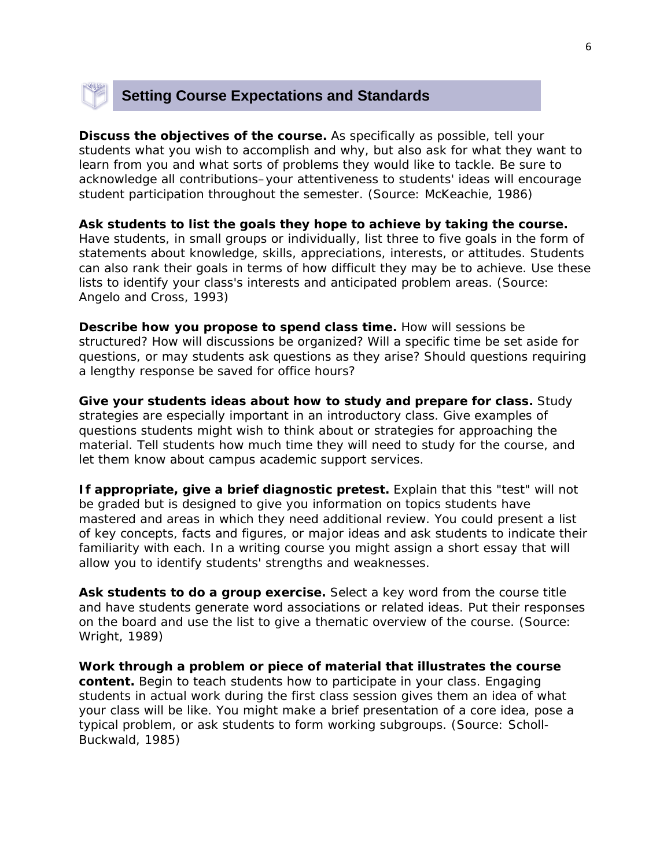# **Setting Course Expectations and Standards**

**Discuss the objectives of the course.** As specifically as possible, tell your students what you wish to accomplish and why, but also ask for what they want to learn from you and what sorts of problems they would like to tackle. Be sure to acknowledge all contributions–your attentiveness to students' ideas will encourage student participation throughout the semester. (Source: McKeachie, 1986)

**Ask students to list the goals they hope to achieve by taking the course.**  Have students, in small groups or individually, list three to five goals in the form of statements about knowledge, skills, appreciations, interests, or attitudes. Students can also rank their goals in terms of how difficult they may be to achieve. Use these lists to identify your class's interests and anticipated problem areas. (Source: Angelo and Cross, 1993)

**Describe how you propose to spend class time.** How will sessions be structured? How will discussions be organized? Will a specific time be set aside for questions, or may students ask questions as they arise? Should questions requiring a lengthy response be saved for office hours?

**Give your students ideas about how to study and prepare for class.** Study strategies are especially important in an introductory class. Give examples of questions students might wish to think about or strategies for approaching the material. Tell students how much time they will need to study for the course, and let them know about campus academic support services.

**If appropriate, give a brief diagnostic pretest.** Explain that this "test" will not be graded but is designed to give you information on topics students have mastered and areas in which they need additional review. You could present a list of key concepts, facts and figures, or major ideas and ask students to indicate their familiarity with each. In a writing course you might assign a short essay that will allow you to identify students' strengths and weaknesses.

**Ask students to do a group exercise.** Select a key word from the course title and have students generate word associations or related ideas. Put their responses on the board and use the list to give a thematic overview of the course. (Source: Wright, 1989)

**Work through a problem or piece of material that illustrates the course content.** Begin to teach students how to participate in your class. Engaging students in actual work during the first class session gives them an idea of what your class will be like. You might make a brief presentation of a core idea, pose a typical problem, or ask students to form working subgroups. (Source: Scholl-Buckwald, 1985)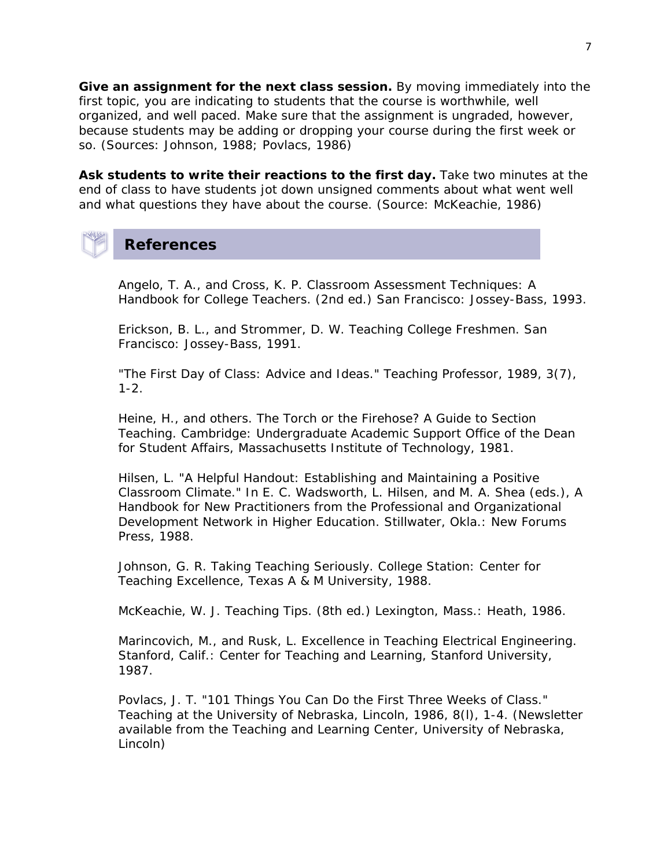**Give an assignment for the next class session.** By moving immediately into the first topic, you are indicating to students that the course is worthwhile, well organized, and well paced. Make sure that the assignment is ungraded, however, because students may be adding or dropping your course during the first week or so. (Sources: Johnson, 1988; Povlacs, 1986)

**Ask students to write their reactions to the first day.** Take two minutes at the end of class to have students jot down unsigned comments about what went well and what questions they have about the course. (Source: McKeachie, 1986)



### **References**

Angelo, T. A., and Cross, K. P. *Classroom Assessment Techniques: A Handbook for College Teachers.* (2nd ed.) San Francisco: Jossey-Bass, 1993.

Erickson, B. L., and Strommer, D. W. *Teaching College Freshmen.* San Francisco: Jossey-Bass, 1991.

"The First Day of Class: Advice and Ideas." *Teaching Professor,* 1989, 3(7),  $1 - 2$ .

Heine, H., and others. *The Torch or the Firehose? A Guide to Section Teaching.* Cambridge: Undergraduate Academic Support Office of the Dean for Student Affairs, Massachusetts Institute of Technology, 1981.

Hilsen, L. "A Helpful Handout: Establishing and Maintaining a Positive Classroom Climate." In E. C. Wadsworth, L. Hilsen, and M. A. Shea (eds.), *A Handbook for New Practitioners from the Professional and Organizational Development Network in Higher Education.* Stillwater, Okla.: New Forums Press, 1988.

Johnson, G. R. *Taking Teaching Seriously.* College Station: Center for Teaching Excellence, Texas A & M University, 1988.

McKeachie, W. J. *Teaching Tips.* (8th ed.) Lexington, Mass.: Heath, 1986.

Marincovich, M., and Rusk, L. *Excellence in Teaching Electrical Engineering.*  Stanford, Calif.: Center for Teaching and Learning, Stanford University, 1987.

Povlacs, J. T. "101 Things You Can Do the First Three Weeks of Class." *Teaching at the University of Nebraska, Lincoln,* 1986, 8(l), 1-4. (Newsletter available from the Teaching and Learning Center, University of Nebraska, Lincoln)